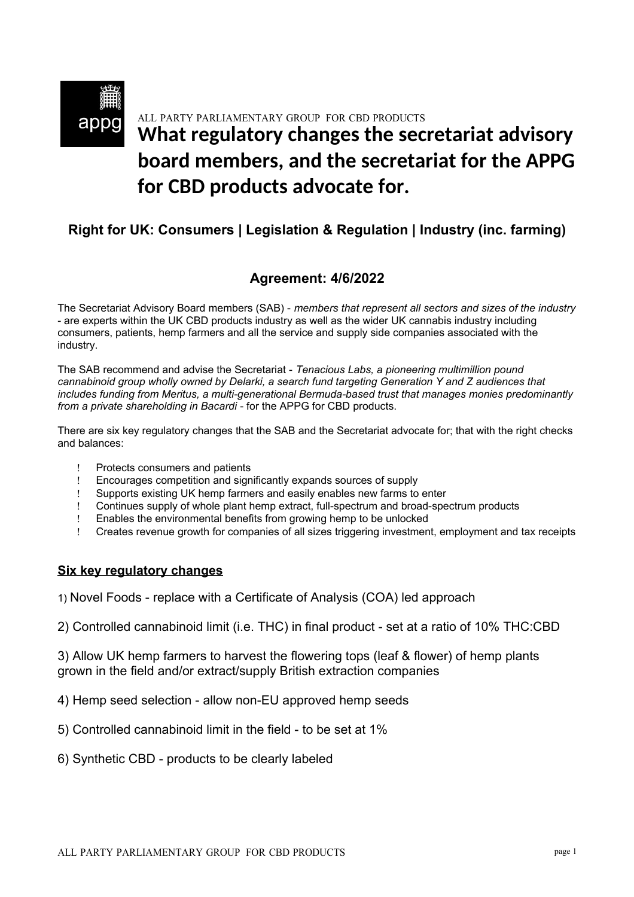# ALL PARTY PARLIAMENTARY GROUP FOR CBD PRODUCTS **What regulatory changes the secretariat advisory board members, and the secretariat for the APPG for CBD products advocate for.**

# **Right for UK: Consumers | Legislation & Regulation | Industry (inc. farming)**

# **Agreement: 4/6/2022**

The Secretariat Advisory Board members (SAB) - *members that represent all sectors and sizes of the industry* - are experts within the UK CBD products industry as well as the wider UK cannabis industry including consumers, patients, hemp farmers and all the service and supply side companies associated with the industry.

The SAB recommend and advise the Secretariat - *Tenacious Labs, a pioneering multimillion pound cannabinoid group wholly owned by Delarki, a search fund targeting Generation Y and Z audiences that includes funding from Meritus, a multi-generational Bermuda-based trust that manages monies predominantly from a private shareholding in Bacardi* - for the APPG for CBD products.

There are six key regulatory changes that the SAB and the Secretariat advocate for; that with the right checks and balances:

- Protects consumers and patients
- Encourages competition and significantly expands sources of supply
- Supports existing UK hemp farmers and easily enables new farms to enter
- Continues supply of whole plant hemp extract, full-spectrum and broad-spectrum products
- Enables the environmental benefits from growing hemp to be unlocked
- Creates revenue growth for companies of all sizes triggering investment, employment and tax receipts

#### **Six key regulatory changes**

1) Novel Foods - replace with a Certificate of Analysis (COA) led approach

2) Controlled cannabinoid limit (i.e. THC) in final product - set at a ratio of 10% THC:CBD

3) Allow UK hemp farmers to harvest the flowering tops (leaf & flower) of hemp plants grown in the field and/or extract/supply British extraction companies

4) Hemp seed selection - allow non-EU approved hemp seeds

- 5) Controlled cannabinoid limit in the field to be set at 1%
- 6) Synthetic CBD products to be clearly labeled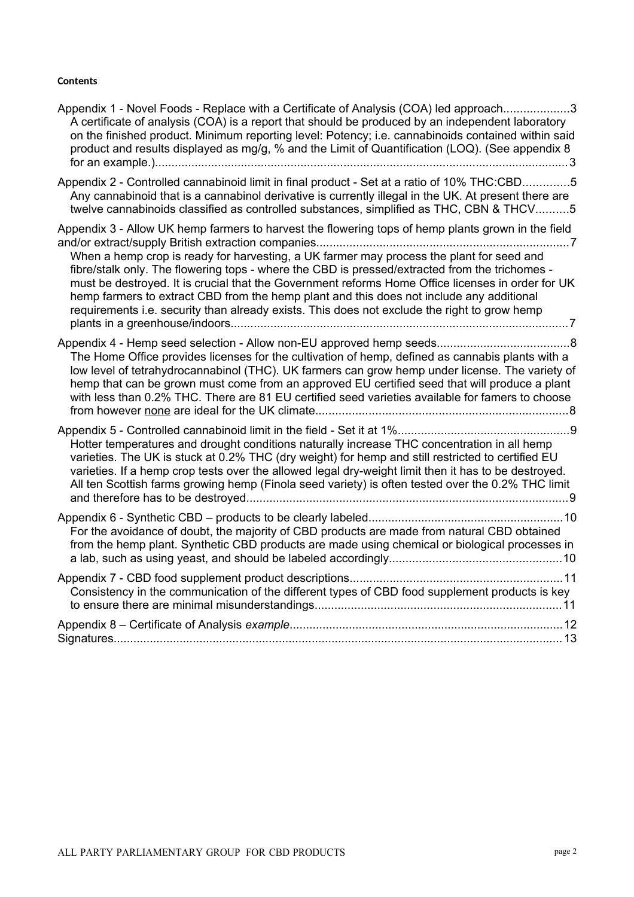#### **Contents**

| Appendix 1 - Novel Foods - Replace with a Certificate of Analysis (COA) led approach3<br>A certificate of analysis (COA) is a report that should be produced by an independent laboratory<br>on the finished product. Minimum reporting level: Potency; i.e. cannabinoids contained within said<br>product and results displayed as mg/g, % and the Limit of Quantification (LOQ). (See appendix 8                                                                                                                                                                                                |
|---------------------------------------------------------------------------------------------------------------------------------------------------------------------------------------------------------------------------------------------------------------------------------------------------------------------------------------------------------------------------------------------------------------------------------------------------------------------------------------------------------------------------------------------------------------------------------------------------|
| Appendix 2 - Controlled cannabinoid limit in final product - Set at a ratio of 10% THC:CBD5<br>Any cannabinoid that is a cannabinol derivative is currently illegal in the UK. At present there are<br>twelve cannabinoids classified as controlled substances, simplified as THC, CBN & THCV5                                                                                                                                                                                                                                                                                                    |
| Appendix 3 - Allow UK hemp farmers to harvest the flowering tops of hemp plants grown in the field<br>When a hemp crop is ready for harvesting, a UK farmer may process the plant for seed and<br>fibre/stalk only. The flowering tops - where the CBD is pressed/extracted from the trichomes -<br>must be destroyed. It is crucial that the Government reforms Home Office licenses in order for UK<br>hemp farmers to extract CBD from the hemp plant and this does not include any additional<br>requirements i.e. security than already exists. This does not exclude the right to grow hemp |
| The Home Office provides licenses for the cultivation of hemp, defined as cannabis plants with a<br>low level of tetrahydrocannabinol (THC). UK farmers can grow hemp under license. The variety of<br>hemp that can be grown must come from an approved EU certified seed that will produce a plant<br>with less than 0.2% THC. There are 81 EU certified seed varieties available for famers to choose                                                                                                                                                                                          |
| Hotter temperatures and drought conditions naturally increase THC concentration in all hemp<br>varieties. The UK is stuck at 0.2% THC (dry weight) for hemp and still restricted to certified EU<br>varieties. If a hemp crop tests over the allowed legal dry-weight limit then it has to be destroyed.<br>All ten Scottish farms growing hemp (Finola seed variety) is often tested over the 0.2% THC limit                                                                                                                                                                                     |
| For the avoidance of doubt, the majority of CBD products are made from natural CBD obtained<br>from the hemp plant. Synthetic CBD products are made using chemical or biological processes in                                                                                                                                                                                                                                                                                                                                                                                                     |
| Consistency in the communication of the different types of CBD food supplement products is key                                                                                                                                                                                                                                                                                                                                                                                                                                                                                                    |
|                                                                                                                                                                                                                                                                                                                                                                                                                                                                                                                                                                                                   |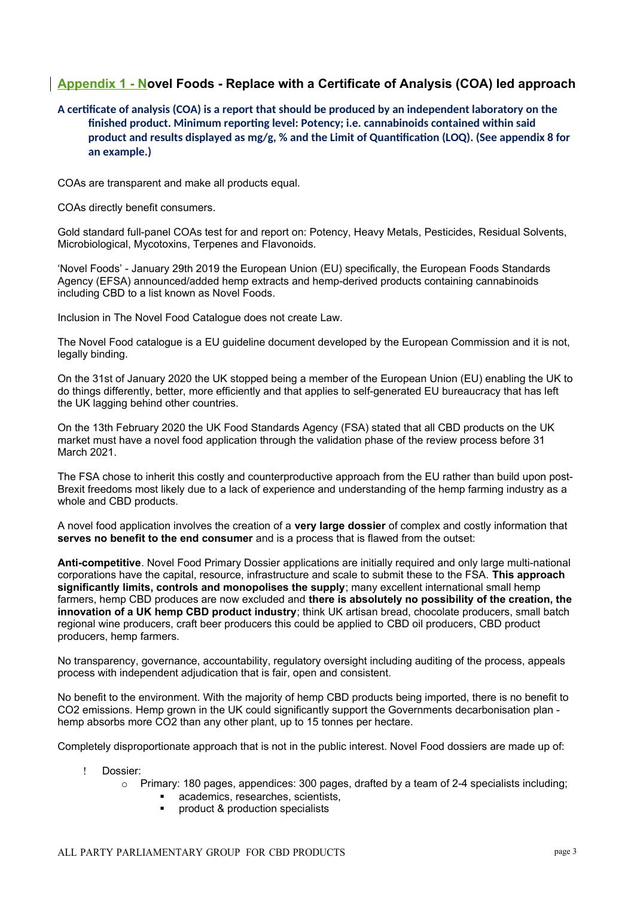## <span id="page-2-0"></span>**Appendix 1 - Novel Foods - Replace with a Certificate of Analysis (COA) led approach**

<span id="page-2-1"></span>**A certfcate of analysis (COA) is a report that should be produced by an independent laboratory on the**  finished product. Minimum reporting level: Potency: i.e. cannabinoids contained within said product and results displayed as mg/g, % and the Limit of Quantification (LOO). (See appendix 8 for **an example.)**

COAs are transparent and make all products equal.

COAs directly benefit consumers.

Gold standard full-panel COAs test for and report on: Potency, Heavy Metals, Pesticides, Residual Solvents, Microbiological, Mycotoxins, Terpenes and Flavonoids.

'Novel Foods' - January 29th 2019 the European Union (EU) specifically, the European Foods Standards Agency (EFSA) announced/added hemp extracts and hemp-derived products containing cannabinoids including CBD to a list known as Novel Foods.

Inclusion in The Novel Food Catalogue does not create Law.

The Novel Food catalogue is a EU guideline document developed by the European Commission and it is not, legally binding.

On the 31st of January 2020 the UK stopped being a member of the European Union (EU) enabling the UK to do things differently, better, more efficiently and that applies to self-generated EU bureaucracy that has left the UK lagging behind other countries.

On the 13th February 2020 the UK Food Standards Agency (FSA) stated that all CBD products on the UK market must have a novel food application through the validation phase of the review process before 31 March 2021.

The FSA chose to inherit this costly and counterproductive approach from the EU rather than build upon post-Brexit freedoms most likely due to a lack of experience and understanding of the hemp farming industry as a whole and CBD products.

A novel food application involves the creation of a **very large dossier** of complex and costly information that **serves no benefit to the end consumer** and is a process that is flawed from the outset:

**Anti-competitive**. Novel Food Primary Dossier applications are initially required and only large multi-national corporations have the capital, resource, infrastructure and scale to submit these to the FSA. **This approach significantly limits, controls and monopolises the supply**; many excellent international small hemp farmers, hemp CBD produces are now excluded and **there is absolutely no possibility of the creation, the innovation of a UK hemp CBD product industry**; think UK artisan bread, chocolate producers, small batch regional wine producers, craft beer producers this could be applied to [CBD oil producers,](https://budandtender.com/) CBD product producers, hemp farmers.

No transparency, governance, accountability, regulatory oversight including auditing of the process, appeals process with independent adjudication that is fair, open and consistent.

No benefit to the environment. With the majority of hemp CBD products being imported, there is no benefit to CO2 emissions. Hemp grown in the UK could significantly support the Governments decarbonisation plan hemp absorbs more CO2 than any other plant, up to 15 tonnes per hectare.

Completely disproportionate approach that is not in the public interest. Novel Food dossiers are made up of:

#### Dossier:

- $\circ$  Primary: 180 pages, appendices: 300 pages, drafted by a team of 2-4 specialists including;
	- academics, researches, scientists,
	- product & production specialists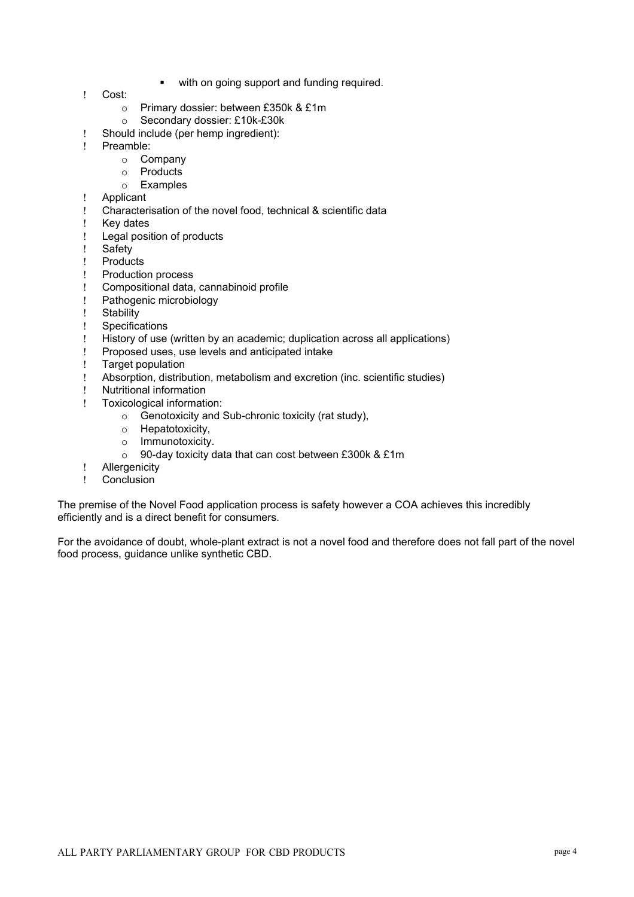- **with on going support and funding required.**
- Cost:
	- o Primary dossier: between £350k & £1m
	- o Secondary dossier: £10k-£30k
- Should include (per hemp ingredient):
- ! Preamble:
	- o Company
	- o Products
	- o Examples
- ! Applicant<br>! Character
- Characterisation of the novel food, technical & scientific data
- ! Key dates
- Legal position of products
- ! Safety<br>! Produc
- **Products**
- Production process
- Compositional data, cannabinoid profile
- Pathogenic microbiology
- Stability
- Specifications
- History of use (written by an academic; duplication across all applications)
- Proposed uses, use levels and anticipated intake
- Target population
- Absorption, distribution, metabolism and excretion (inc. scientific studies)<br>
Nutritional information
- ! Nutritional information<br>! Toxicological informati
- Toxicological information:
	- $\circ$  Genotoxicity and Sub-chronic toxicity (rat study),
	- o Hepatotoxicity,
	- o Immunotoxicity.
	- o 90-day toxicity data that can cost between £300k & £1m
- Allergenicity
- Conclusion

The premise of the Novel Food application process is safety however a COA achieves this incredibly efficiently and is a direct benefit for consumers.

For the avoidance of doubt, whole-plant extract is not a novel food and therefore does not fall part of the novel food process, guidance unlike synthetic CBD.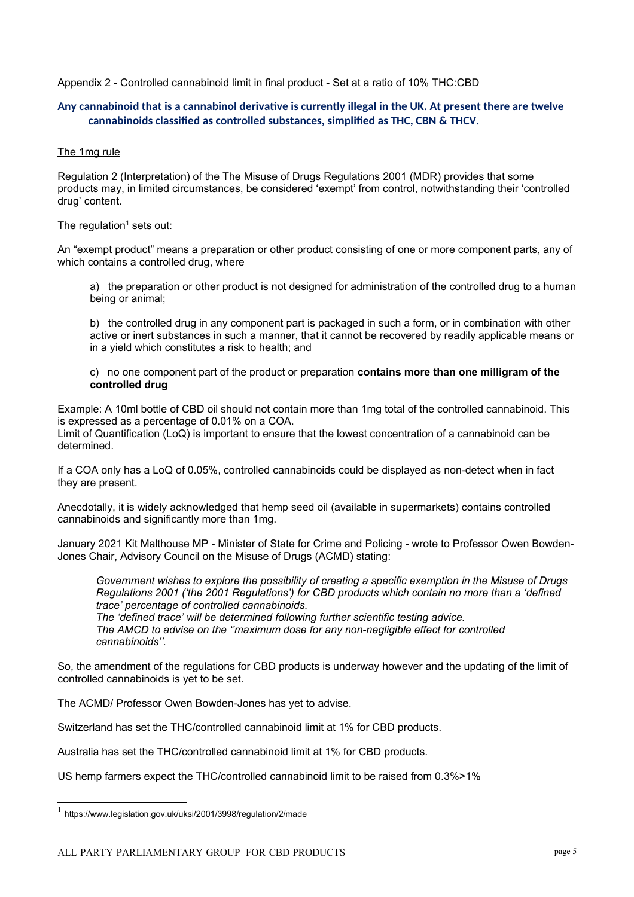<span id="page-4-1"></span>Appendix 2 - Controlled cannabinoid limit in final product - Set at a ratio of 10% THC:CBD

#### <span id="page-4-0"></span>**Any cannabinoid that is a cannabinol derivatve is currently illegal in the UK. At present there are twelve cannabinoids classifed as controlled substances, simplifed as THC, CBN & THCV.**

#### The 1mg rule

Regulation 2 (Interpretation) of the The Misuse of Drugs Regulations 2001 (MDR) provides that some products may, in limited circumstances, be considered 'exempt' from control, notwithstanding their 'controlled drug' content.

The regulation<sup>[1](#page-4-2)</sup> sets out:

An "exempt product" means a preparation or other product consisting of one or more component parts, any of which contains a controlled drug, where

a) the preparation or other product is not designed for administration of the controlled drug to a human being or animal;

b) the controlled drug in any component part is packaged in such a form, or in combination with other active or inert substances in such a manner, that it cannot be recovered by readily applicable means or in a yield which constitutes a risk to health; and

c) no one component part of the product or preparation **contains more than one milligram of the controlled drug**

Example: A 10ml bottle of CBD oil should not contain more than 1mg total of the controlled cannabinoid. This is expressed as a percentage of 0.01% on a COA.

Limit of Quantification (LoQ) is important to ensure that the lowest concentration of a cannabinoid can be determined.

If a COA only has a LoQ of 0.05%, controlled cannabinoids could be displayed as non-detect when in fact they are present.

Anecdotally, it is widely acknowledged that hemp seed oil (available in supermarkets) contains controlled cannabinoids and significantly more than 1mg.

January 2021 Kit Malthouse MP - Minister of State for Crime and Policing - wrote to Professor Owen Bowden-Jones Chair, Advisory Council on the Misuse of Drugs (ACMD) stating:

*Government wishes to explore the possibility of creating a specific exemption in the Misuse of Drugs Regulations 2001 ('the 2001 Regulations') for CBD products which contain no more than a 'defined trace' percentage of controlled cannabinoids.*

*The 'defined trace' will be determined following further scientific testing advice. The AMCD to advise on the ''maximum dose for any non-negligible effect for controlled cannabinoids''.*

So, the amendment of the regulations for CBD products is underway however and the updating of the limit of controlled cannabinoids is yet to be set.

The ACMD/ Professor Owen Bowden-Jones has yet to advise.

Switzerland has set the THC/controlled cannabinoid limit at 1% for CBD products.

Australia has set the THC/controlled cannabinoid limit at 1% for CBD products.

US hemp farmers expect the THC/controlled cannabinoid limit to be raised from 0.3%>1%

<span id="page-4-2"></span><sup>&</sup>lt;sup>1</sup> https://www.legislation.gov.uk/uksi/2001/3998/regulation/2/made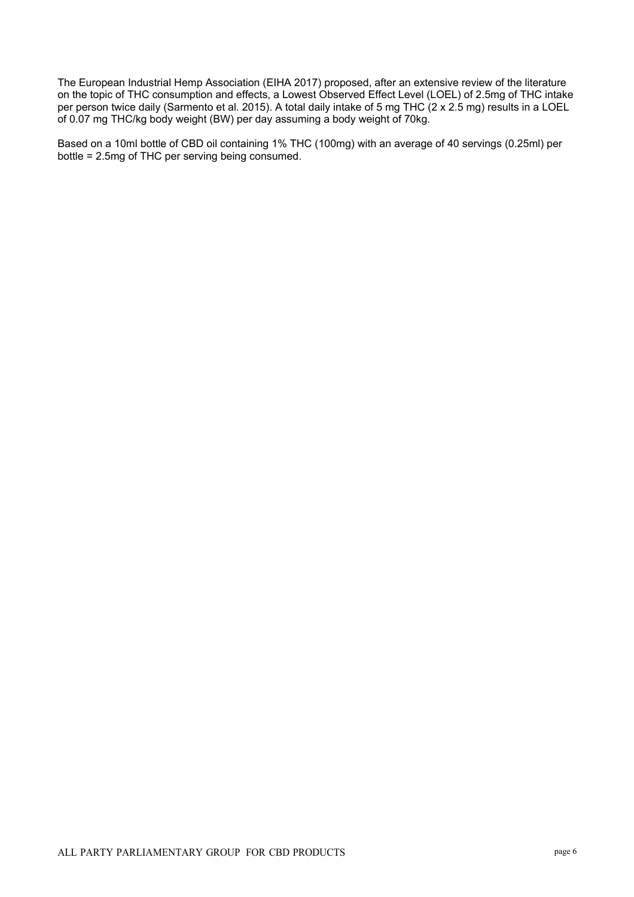The European Industrial Hemp Association (EIHA 2017) proposed, after an extensive review of the literature on the topic of THC consumption and effects, a Lowest Observed Effect Level (LOEL) of 2.5mg of THC intake per person twice daily (Sarmento et al. 2015). A total daily intake of 5 mg THC (2 x 2.5 mg) results in a LOEL of 0.07 mg THC/kg body weight (BW) per day assuming a body weight of 70kg.

Based on a 10ml bottle of CBD oil containing 1% THC (100mg) with an average of 40 servings (0.25ml) per bottle = 2.5mg of THC per serving being consumed.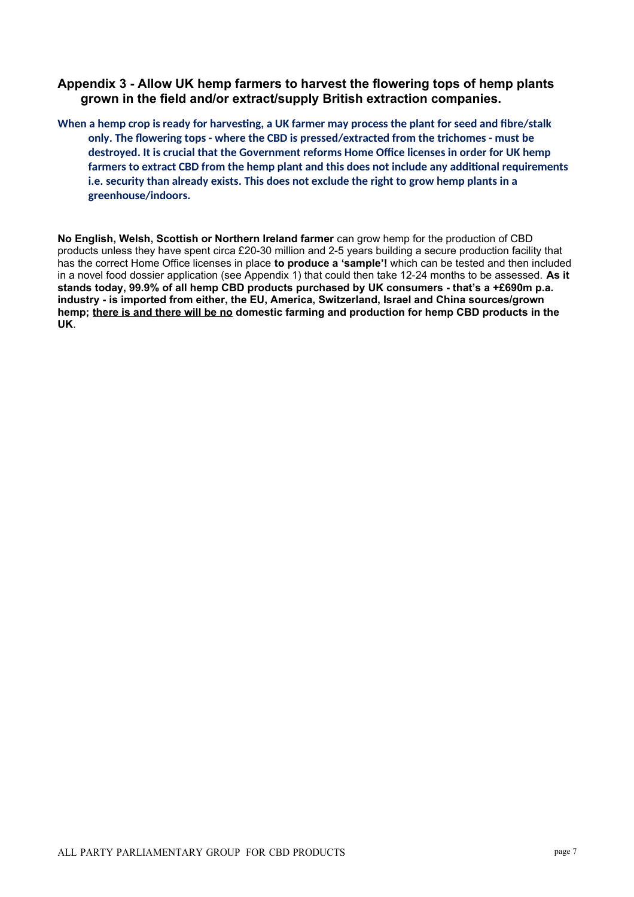#### <span id="page-6-1"></span>**Appendix 3 - Allow UK hemp farmers to harvest the flowering tops of hemp plants grown in the field and/or extract/supply British extraction companies.**

<span id="page-6-0"></span>When a hemp crop is ready for harvesting, a UK farmer may process the plant for seed and fibre/stalk **only. The fowering tops - where the CBD is pressed/extracted from the trichomes - must be**  destroyed. It is crucial that the Government reforms Home Office licenses in order for UK hemp **farmers to extract CBD from the hemp plant and this does not include any additonal requirements i.e. security than already exists. This does not exclude the right to grow hemp plants in a greenhouse/indoors.**

**No English, Welsh, Scottish or Northern Ireland farmer** can grow hemp for the production of CBD products unless they have spent circa £20-30 million and 2-5 years building a secure production facility that has the correct Home Office licenses in place **to produce a 'sample'!** which can be tested and then included in a novel food dossier application (see Appendix 1) that could then take 12-24 months to be assessed. **As it stands today, 99.9% of all hemp CBD products purchased by UK consumers - that's a +£690m p.a. industry - is imported from either, the EU, America, Switzerland, Israel and China sources/grown hemp; there is and there will be no domestic farming and production for hemp CBD products in the UK**.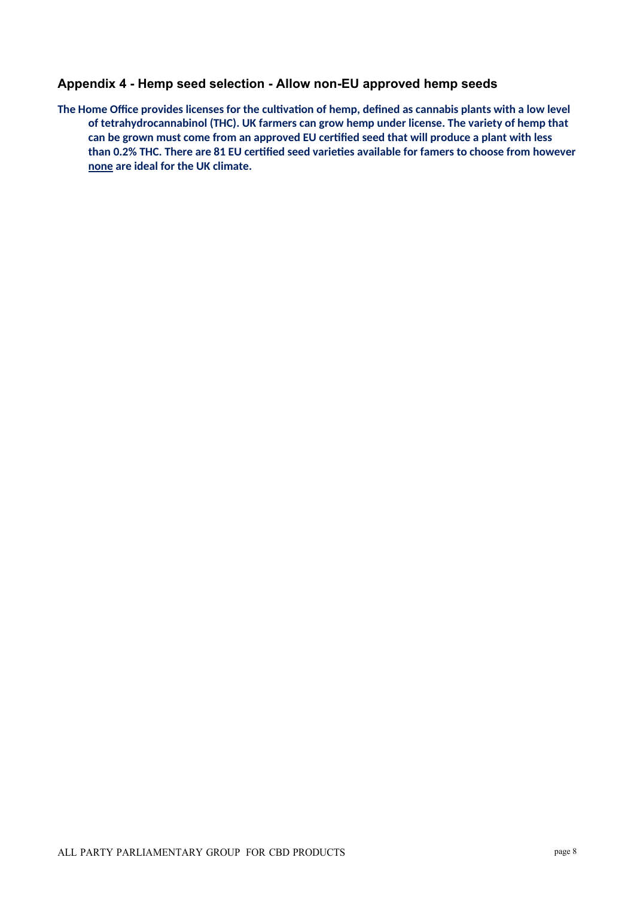#### <span id="page-7-1"></span>**Appendix 4 - Hemp seed selection - Allow non-EU approved hemp seeds**

<span id="page-7-0"></span>The Home Office provides licenses for the cultivation of hemp, defined as cannabis plants with a low level **of tetrahydrocannabinol (THC). UK farmers can grow hemp under license. The variety of hemp that can be grown must come from an approved EU certfed seed that will produce a plant with less**  than 0.2% THC. There are 81 EU certified seed varieties available for famers to choose from however **none are ideal for the UK climate.**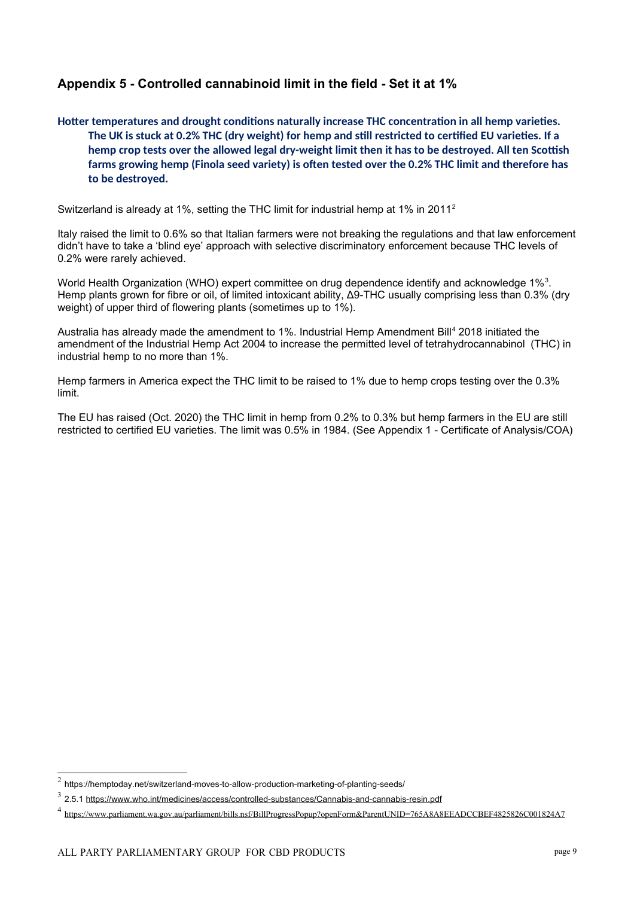# <span id="page-8-1"></span>**Appendix 5 - Controlled cannabinoid limit in the field - Set it at 1%**

<span id="page-8-0"></span>Hotter temperatures and drought conditions naturally increase THC concentration in all hemp varieties. The UK is stuck at 0.2% THC (dry weight) for hemp and still restricted to certified EU varieties. If a hemp crop tests over the allowed legal dry-weight limit then it has to be destroyed. All ten Scottish **farms growing hemp (Finola seed variety) is ofen tested over the 0.2% THC limit and therefore has to be destroyed.**

Switzerland is already at 1%, setting the THC limit for industrial hemp at 1% in 2011[2](#page-8-2)

Italy raised the limit to 0.6% so that Italian farmers were not breaking the regulations and that law enforcement didn't have to take a 'blind eye' approach with selective discriminatory enforcement because THC levels of 0.2% were rarely achieved.

World Health Organization (WHO) expert committee on drug dependence identify and acknowledge 1%<sup>[3](#page-8-3)</sup>. Hemp plants grown for fibre or oil, of limited intoxicant ability, Δ9-THC usually comprising less than 0.3% (dry weight) of upper third of flowering plants (sometimes up to 1%).

Australia has already made the amendment to 1%. Industrial Hemp Amendment Bill<sup>[4](#page-8-4)</sup> 2018 initiated the amendment of the Industrial Hemp Act 2004 to increase the permitted level of tetrahydrocannabinol (THC) in industrial hemp to no more than 1%.

Hemp farmers in America expect the THC limit to be raised to 1% due to hemp crops testing over the 0.3% limit.

The EU has raised (Oct. 2020) the THC limit in hemp from 0.2% to 0.3% but hemp farmers in the EU are still restricted to certified EU varieties. The limit was 0.5% in 1984. (See Appendix 1 - Certificate of Analysis/COA)

<span id="page-8-2"></span> $^2$  https://hemptoday.net/switzerland-moves-to-allow-production-marketing-of-planting-seeds/

<span id="page-8-3"></span><sup>&</sup>lt;sup>3</sup> 2.5.1<https://www.who.int/medicines/access/controlled-substances/Cannabis-and-cannabis-resin.pdf>

<span id="page-8-4"></span><sup>&</sup>lt;sup>4</sup> <https://www.parliament.wa.gov.au/parliament/bills.nsf/BillProgressPopup?openForm&ParentUNID=765A8A8EEADCCBEF4825826C001824A7>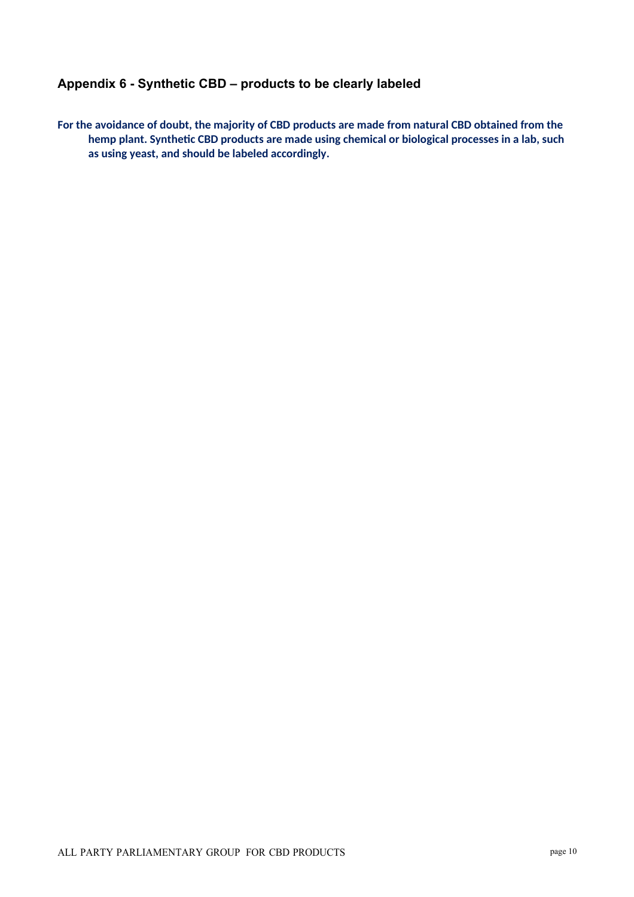## <span id="page-9-1"></span>**Appendix 6 - Synthetic CBD – products to be clearly labeled**

<span id="page-9-0"></span>**For the avoidance of doubt, the majority of CBD products are made from natural CBD obtained from the**  hemp plant. Synthetic CBD products are made using chemical or biological processes in a lab, such **as using yeast, and should be labeled accordingly.**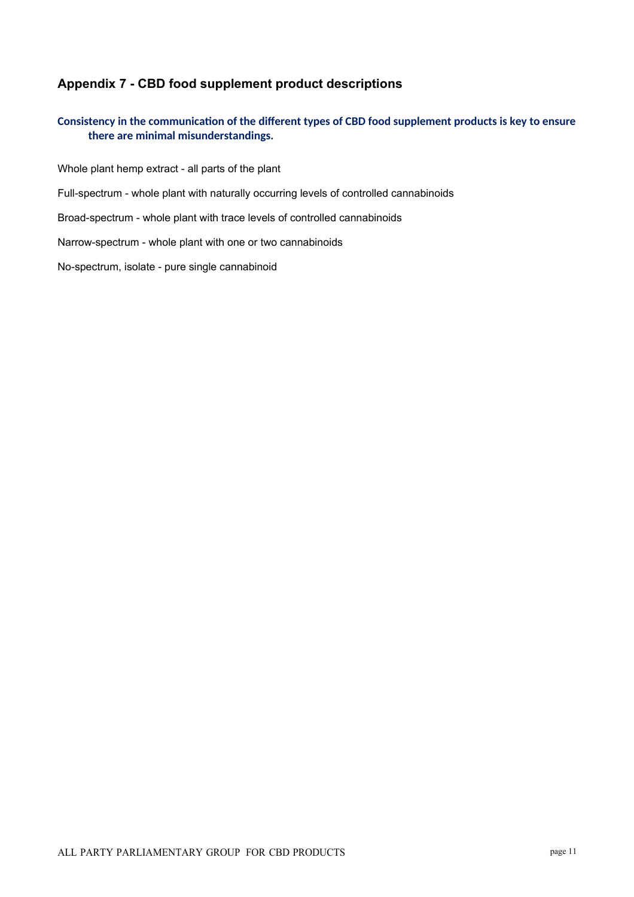# <span id="page-10-1"></span>**Appendix 7 - CBD food supplement product descriptions**

#### <span id="page-10-0"></span>Consistency in the communication of the different types of CBD food supplement products is key to ensure **there are minimal misunderstandings.**

Whole plant hemp extract - all parts of the plant

Full-spectrum - whole plant with naturally occurring levels of controlled cannabinoids

Broad-spectrum - whole plant with trace levels of controlled cannabinoids

Narrow-spectrum - whole plant with one or two cannabinoids

No-spectrum, isolate - pure single cannabinoid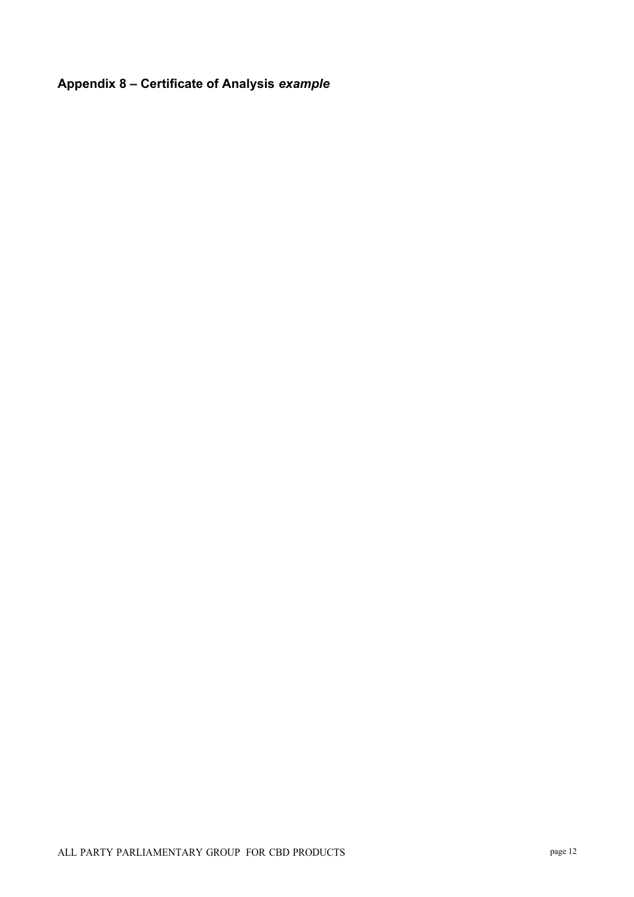# <span id="page-11-0"></span>**Appendix 8 – Certificate of Analysis** *example*